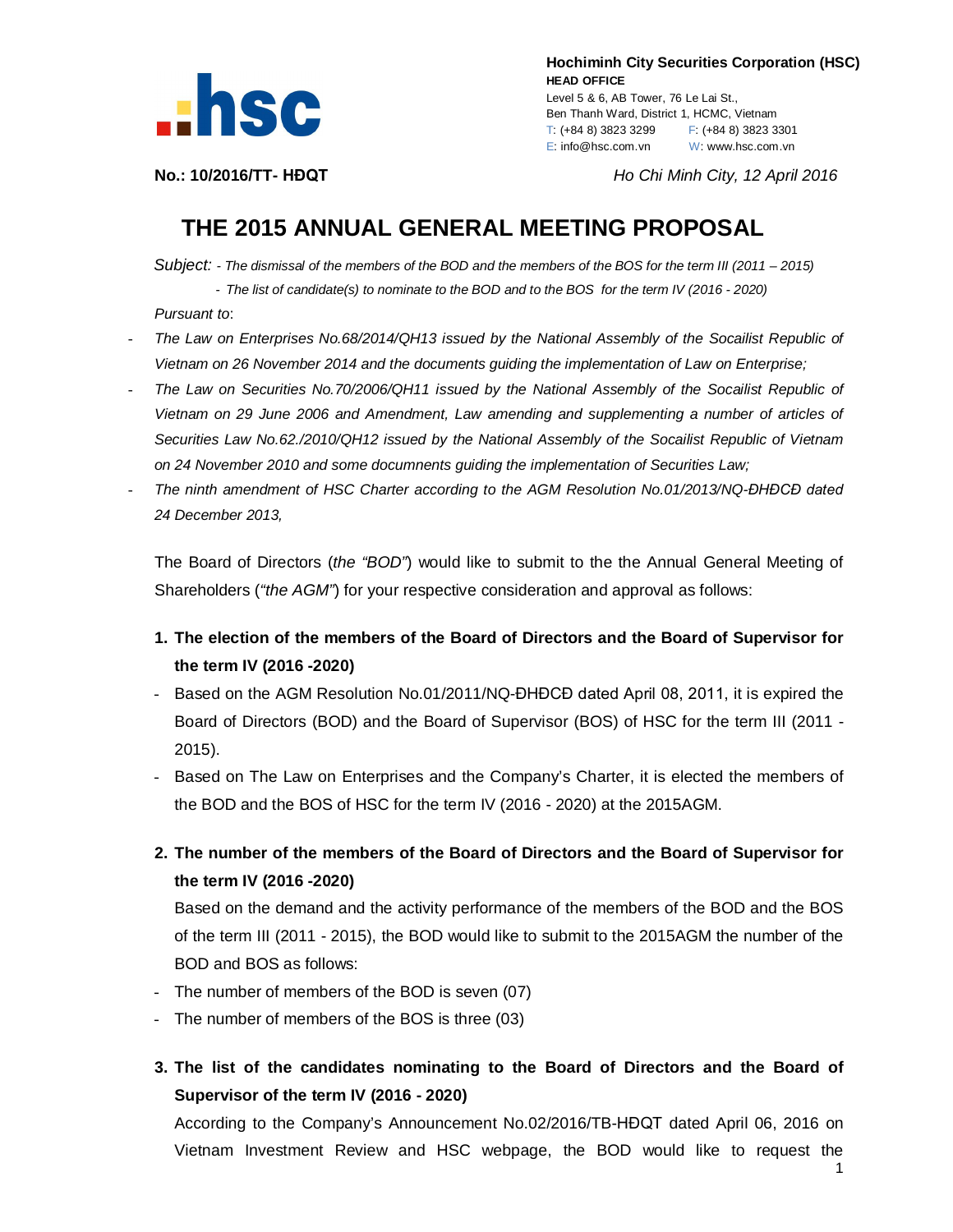

 **Hochiminh City Securities Corporation (HSC) HEAD OFFICE** Level 5 & 6, AB Tower, 76 Le Lai St., Ben Thanh Ward, District 1, HCMC, Vietnam

T: (+84 8) 3823 3299 F: (+84 8) 3823 3301 E: info@hsc.com.vn W: www.hsc.com.vn

**No.: 10/2016/TT- HĐQT** *Ho Chi Minh City, 12 April 2016*

## **THE 2015 ANNUAL GENERAL MEETING PROPOSAL**

*Subject: - The dismissal of the members of the BOD and the members of the BOS for the term III (2011 – 2015)* - *The list of candidate(s) to nominate to the BOD and to the BOS for the term IV (2016 - 2020)*

*Pursuant to*:

- *The Law on Enterprises No.68/2014/QH13 issued by the National Assembly of the Socailist Republic of Vietnam on 26 November 2014 and the documents guiding the implementation of Law on Enterprise;*
- *The Law on Securities No.70/2006/QH11 issued by the National Assembly of the Socailist Republic of Vietnam on 29 June 2006 and Amendment, Law amending and supplementing a number of articles of Securities Law No.62./2010/QH12 issued by the National Assembly of the Socailist Republic of Vietnam on 24 November 2010 and some documnents guiding the implementation of Securities Law;*
- *The ninth amendment of HSC Charter according to the AGM Resolution No.01/2013/NQ-ĐHĐCĐ dated 24 December 2013,*

The Board of Directors (*the "BOD"*) would like to submit to the the Annual General Meeting of Shareholders (*"the AGM"*) for your respective consideration and approval as follows:

- **1. The election of the members of the Board of Directors and the Board of Supervisor for the term IV (2016 -2020)**
- Based on the AGM Resolution No.01/2011/NQ-ĐHĐCĐ dated April 08, 2011, it is expired the Board of Directors (BOD) and the Board of Supervisor (BOS) of HSC for the term III (2011 - 2015).
- Based on The Law on Enterprises and the Company's Charter, it is elected the members of the BOD and the BOS of HSC for the term IV (2016 - 2020) at the 2015AGM.
- **2. The number of the members of the Board of Directors and the Board of Supervisor for the term IV (2016 -2020)**

Based on the demand and the activity performance of the members of the BOD and the BOS of the term III (2011 - 2015), the BOD would like to submit to the 2015AGM the number of the BOD and BOS as follows:

- The number of members of the BOD is seven (07)
- The number of members of the BOS is three (03)
- **3. The list of the candidates nominating to the Board of Directors and the Board of Supervisor of the term IV (2016 - 2020)**

According to the Company's Announcement No.02/2016/TB-HĐQT dated April 06, 2016 on Vietnam Investment Review and HSC webpage, the BOD would like to request the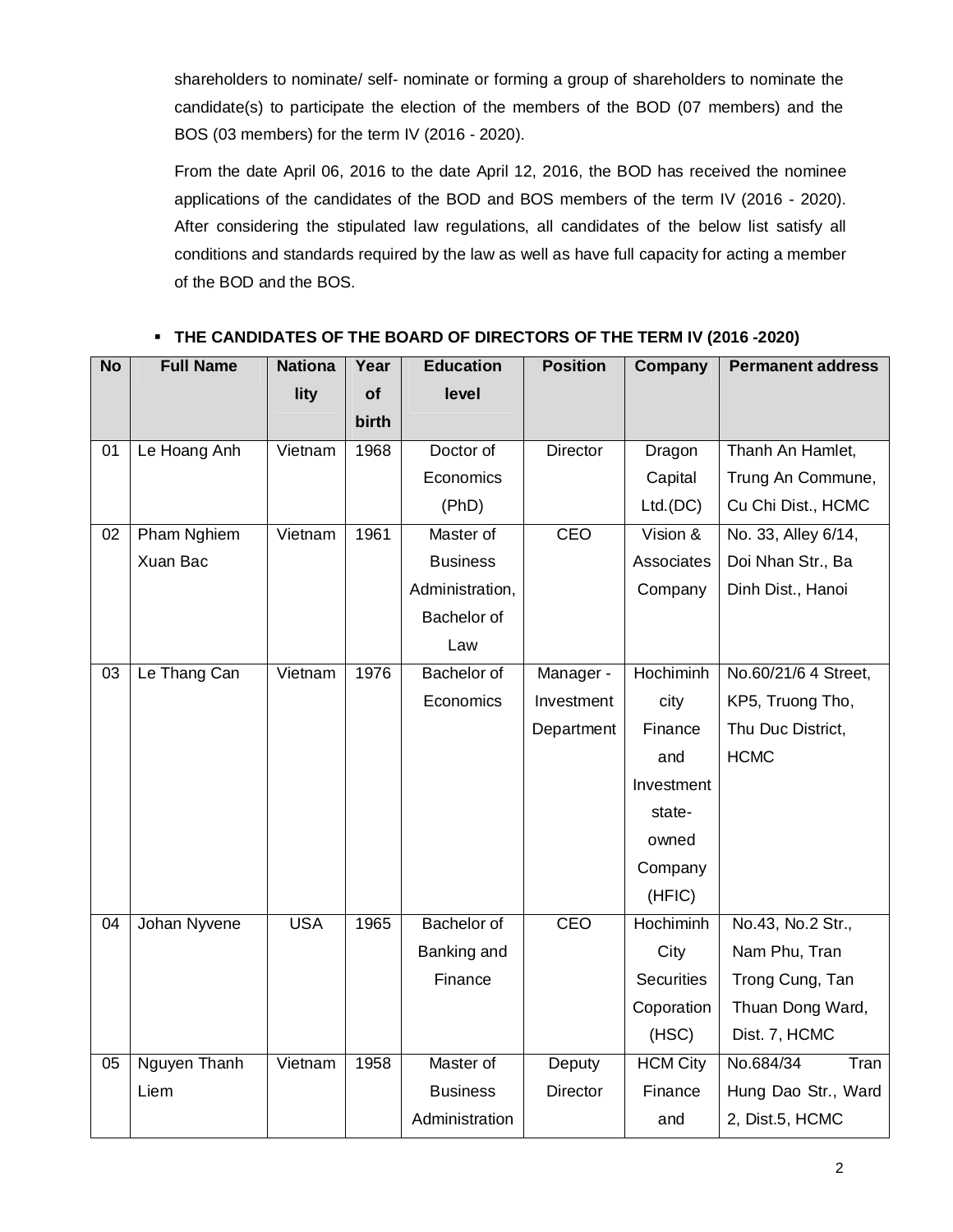shareholders to nominate/ self- nominate or forming a group of shareholders to nominate the candidate(s) to participate the election of the members of the BOD (07 members) and the BOS (03 members) for the term IV (2016 - 2020).

From the date April 06, 2016 to the date April 12, 2016, the BOD has received the nominee applications of the candidates of the BOD and BOS members of the term IV (2016 - 2020). After considering the stipulated law regulations, all candidates of the below list satisfy all conditions and standards required by the law as well as have full capacity for acting a member of the BOD and the BOS.

| <b>No</b>       | <b>Full Name</b> | <b>Nationa</b> | Year         | <b>Education</b>   | <b>Position</b> | Company           | <b>Permanent address</b> |
|-----------------|------------------|----------------|--------------|--------------------|-----------------|-------------------|--------------------------|
|                 |                  | lity           | of           | level              |                 |                   |                          |
|                 |                  |                | <b>birth</b> |                    |                 |                   |                          |
| 01              | Le Hoang Anh     | Vietnam        | 1968         | Doctor of          | Director        | Dragon            | Thanh An Hamlet,         |
|                 |                  |                |              | Economics          |                 | Capital           | Trung An Commune,        |
|                 |                  |                |              | (PhD)              |                 | Ltd.(DC)          | Cu Chi Dist., HCMC       |
| 02              | Pham Nghiem      | Vietnam        | 1961         | Master of          | CEO             | Vision &          | No. 33, Alley 6/14,      |
|                 | Xuan Bac         |                |              | <b>Business</b>    |                 | Associates        | Doi Nhan Str., Ba        |
|                 |                  |                |              | Administration,    |                 | Company           | Dinh Dist., Hanoi        |
|                 |                  |                |              | Bachelor of        |                 |                   |                          |
|                 |                  |                |              | Law                |                 |                   |                          |
| 03              | Le Thang Can     | Vietnam        | 1976         | Bachelor of        | Manager -       | <b>Hochiminh</b>  | No.60/21/6 4 Street,     |
|                 |                  |                |              | Economics          | Investment      | city              | KP5, Truong Tho,         |
|                 |                  |                |              |                    | Department      | Finance           | Thu Duc District,        |
|                 |                  |                |              |                    |                 | and               | <b>HCMC</b>              |
|                 |                  |                |              |                    |                 | Investment        |                          |
|                 |                  |                |              |                    |                 | state-            |                          |
|                 |                  |                |              |                    |                 | owned             |                          |
|                 |                  |                |              |                    |                 | Company           |                          |
|                 |                  |                |              |                    |                 | (HFIC)            |                          |
| 04              | Johan Nyvene     | <b>USA</b>     | 1965         | <b>Bachelor of</b> | CEO             | <b>Hochiminh</b>  | No.43, No.2 Str.,        |
|                 |                  |                |              | Banking and        |                 | City              | Nam Phu, Tran            |
|                 |                  |                |              | Finance            |                 | <b>Securities</b> | Trong Cung, Tan          |
|                 |                  |                |              |                    |                 | Coporation        | Thuan Dong Ward,         |
|                 |                  |                |              |                    |                 | (HSC)             | Dist. 7, HCMC            |
| $\overline{05}$ | Nguyen Thanh     | Vietnam        | 1958         | Master of          | Deputy          | <b>HCM City</b>   | No.684/34<br>Tran        |
|                 | Liem             |                |              | <b>Business</b>    | <b>Director</b> | Finance           | Hung Dao Str., Ward      |
|                 |                  |                |              | Administration     |                 | and               | 2, Dist.5, HCMC          |

## **THE CANDIDATES OF THE BOARD OF DIRECTORS OF THE TERM IV (2016 -2020)**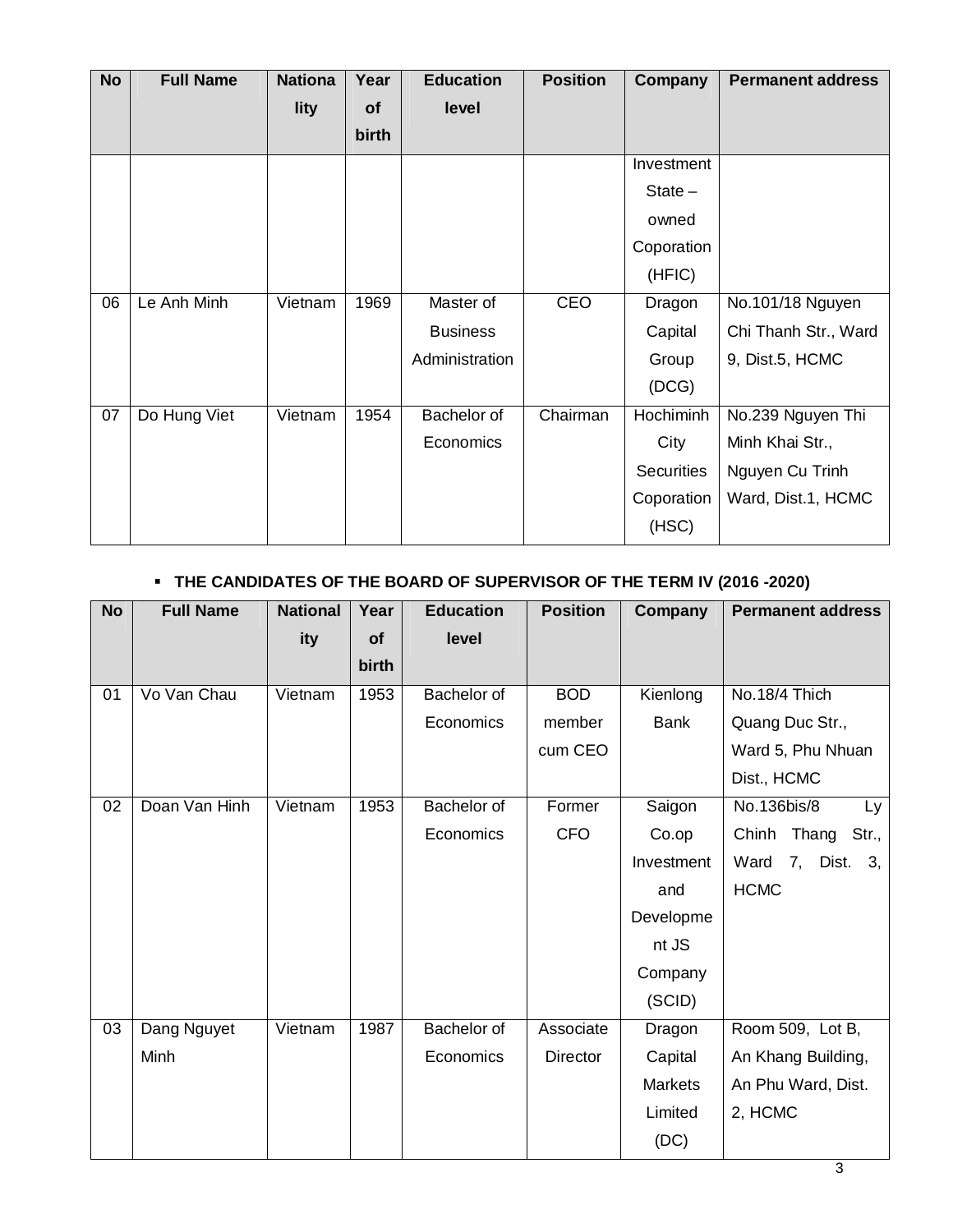| <b>No</b> | <b>Full Name</b> | <b>Nationa</b> | Year  | <b>Education</b> | <b>Position</b> | Company           | <b>Permanent address</b> |
|-----------|------------------|----------------|-------|------------------|-----------------|-------------------|--------------------------|
|           |                  | lity           | of    | level            |                 |                   |                          |
|           |                  |                | birth |                  |                 |                   |                          |
|           |                  |                |       |                  |                 | Investment        |                          |
|           |                  |                |       |                  |                 | $State -$         |                          |
|           |                  |                |       |                  |                 | owned             |                          |
|           |                  |                |       |                  |                 | Coporation        |                          |
|           |                  |                |       |                  |                 | (HFIC)            |                          |
| 06        | Le Anh Minh      | Vietnam        | 1969  | Master of        | CEO             | Dragon            | No.101/18 Nguyen         |
|           |                  |                |       | <b>Business</b>  |                 | Capital           | Chi Thanh Str., Ward     |
|           |                  |                |       | Administration   |                 | Group             | 9, Dist.5, HCMC          |
|           |                  |                |       |                  |                 | (DCG)             |                          |
| 07        | Do Hung Viet     | Vietnam        | 1954  | Bachelor of      | Chairman        | Hochiminh         | No.239 Nguyen Thi        |
|           |                  |                |       | Economics        |                 | City              | Minh Khai Str.,          |
|           |                  |                |       |                  |                 | <b>Securities</b> | Nguyen Cu Trinh          |
|           |                  |                |       |                  |                 | Coporation        | Ward, Dist.1, HCMC       |
|           |                  |                |       |                  |                 | (HSC)             |                          |

## **THE CANDIDATES OF THE BOARD OF SUPERVISOR OF THE TERM IV (2016 -2020)**

| <b>No</b> | <b>Full Name</b> | <b>National</b> | Year      | <b>Education</b> | <b>Position</b> | Company        | <b>Permanent address</b> |
|-----------|------------------|-----------------|-----------|------------------|-----------------|----------------|--------------------------|
|           |                  | ity             | <b>of</b> | level            |                 |                |                          |
|           |                  |                 | birth     |                  |                 |                |                          |
| 01        | Vo Van Chau      | Vietnam         | 1953      | Bachelor of      | <b>BOD</b>      | Kienlong       | No.18/4 Thich            |
|           |                  |                 |           | Economics        | member          | <b>Bank</b>    | Quang Duc Str.,          |
|           |                  |                 |           |                  | cum CEO         |                | Ward 5, Phu Nhuan        |
|           |                  |                 |           |                  |                 |                | Dist., HCMC              |
| 02        | Doan Van Hinh    | Vietnam         | 1953      | Bachelor of      | Former          | Saigon         | No.136bis/8<br>Ly        |
|           |                  |                 |           | Economics        | <b>CFO</b>      | Co.op          | Chinh Thang<br>Str.,     |
|           |                  |                 |           |                  |                 | Investment     | Ward<br>7,<br>Dist. 3,   |
|           |                  |                 |           |                  |                 | and            | <b>HCMC</b>              |
|           |                  |                 |           |                  |                 | Developme      |                          |
|           |                  |                 |           |                  |                 | nt JS          |                          |
|           |                  |                 |           |                  |                 | Company        |                          |
|           |                  |                 |           |                  |                 | (SCID)         |                          |
| 03        | Dang Nguyet      | Vietnam         | 1987      | Bachelor of      | Associate       | Dragon         | Room 509, Lot B,         |
|           | Minh             |                 |           | Economics        | <b>Director</b> | Capital        | An Khang Building,       |
|           |                  |                 |           |                  |                 | <b>Markets</b> | An Phu Ward, Dist.       |
|           |                  |                 |           |                  |                 | Limited        | 2, HCMC                  |
|           |                  |                 |           |                  |                 | (DC)           |                          |
|           |                  |                 |           |                  |                 |                |                          |